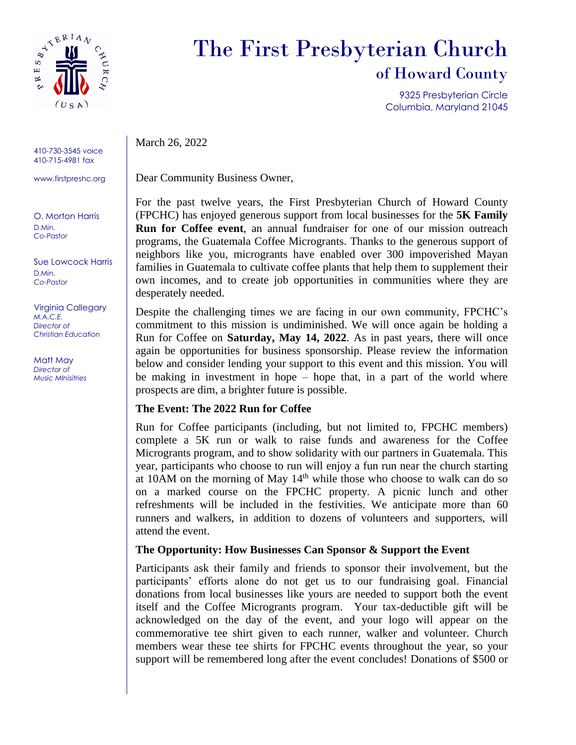

410-730-3545 voice 410-715-4981 fax

www.firstpreshc.org

O. Morton Harris D.Min. *Co-Pastor*

Sue Lowcock Harris D.Min. *Co-Pastor*

Virginia Callegary *M.A.C.E. Director of Christian Education*

Matt May *Director of Music MInisitries*

## The First Presbyterian Church of Howard County

9325 Presbyterian Circle Columbia, Maryland 21045

March 26, 2022

Dear Community Business Owner,

For the past twelve years, the First Presbyterian Church of Howard County (FPCHC) has enjoyed generous support from local businesses for the **5K Family Run for Coffee event**, an annual fundraiser for one of our mission outreach programs, the Guatemala Coffee Microgrants. Thanks to the generous support of neighbors like you, microgrants have enabled over 300 impoverished Mayan families in Guatemala to cultivate coffee plants that help them to supplement their own incomes, and to create job opportunities in communities where they are desperately needed.

Despite the challenging times we are facing in our own community, FPCHC's commitment to this mission is undiminished. We will once again be holding a Run for Coffee on **Saturday, May 14, 2022**. As in past years, there will once again be opportunities for business sponsorship. Please review the information below and consider lending your support to this event and this mission. You will be making in investment in hope – hope that, in a part of the world where prospects are dim, a brighter future is possible.

## **The Event: The 2022 Run for Coffee**

Run for Coffee participants (including, but not limited to, FPCHC members) complete a 5K run or walk to raise funds and awareness for the Coffee Microgrants program, and to show solidarity with our partners in Guatemala. This year, participants who choose to run will enjoy a fun run near the church starting at 10AM on the morning of May 14<sup>th</sup> while those who choose to walk can do so on a marked course on the FPCHC property. A picnic lunch and other refreshments will be included in the festivities. We anticipate more than 60 runners and walkers, in addition to dozens of volunteers and supporters, will attend the event.

## **The Opportunity: How Businesses Can Sponsor & Support the Event**

Participants ask their family and friends to sponsor their involvement, but the participants' efforts alone do not get us to our fundraising goal. Financial donations from local businesses like yours are needed to support both the event itself and the Coffee Microgrants program. Your tax-deductible gift will be acknowledged on the day of the event, and your logo will appear on the commemorative tee shirt given to each runner, walker and volunteer. Church members wear these tee shirts for FPCHC events throughout the year, so your support will be remembered long after the event concludes! Donations of \$500 or